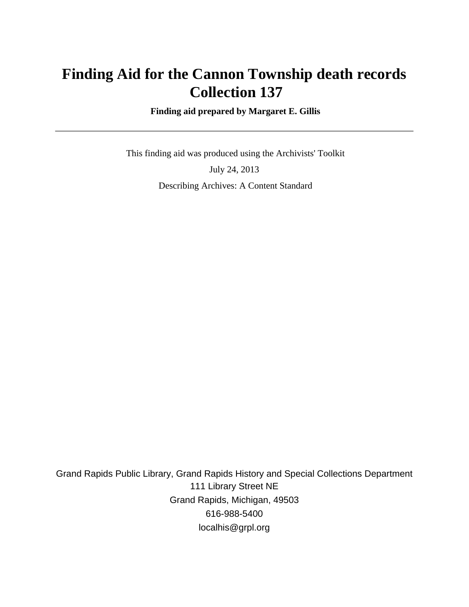# **Finding Aid for the Cannon Township death records Collection 137**

 **Finding aid prepared by Margaret E. Gillis**

 This finding aid was produced using the Archivists' Toolkit July 24, 2013 Describing Archives: A Content Standard

Grand Rapids Public Library, Grand Rapids History and Special Collections Department 111 Library Street NE Grand Rapids, Michigan, 49503 616-988-5400 localhis@grpl.org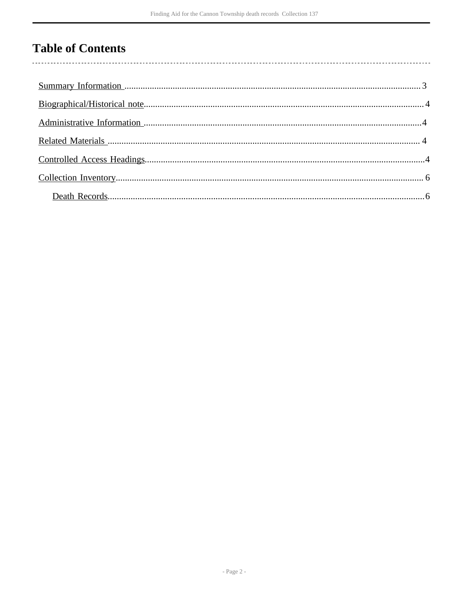## **Table of Contents**

 $\overline{\phantom{a}}$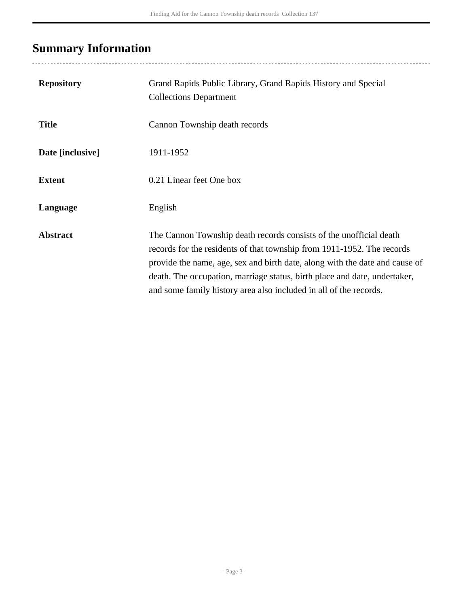# <span id="page-2-0"></span>**Summary Information**

| <b>Repository</b> | Grand Rapids Public Library, Grand Rapids History and Special<br><b>Collections Department</b>                                                                                                                                                                                                                                                                                |
|-------------------|-------------------------------------------------------------------------------------------------------------------------------------------------------------------------------------------------------------------------------------------------------------------------------------------------------------------------------------------------------------------------------|
| <b>Title</b>      | Cannon Township death records                                                                                                                                                                                                                                                                                                                                                 |
| Date [inclusive]  | 1911-1952                                                                                                                                                                                                                                                                                                                                                                     |
| <b>Extent</b>     | 0.21 Linear feet One box                                                                                                                                                                                                                                                                                                                                                      |
| Language          | English                                                                                                                                                                                                                                                                                                                                                                       |
| <b>Abstract</b>   | The Cannon Township death records consists of the unofficial death<br>records for the residents of that township from 1911-1952. The records<br>provide the name, age, sex and birth date, along with the date and cause of<br>death. The occupation, marriage status, birth place and date, undertaker,<br>and some family history area also included in all of the records. |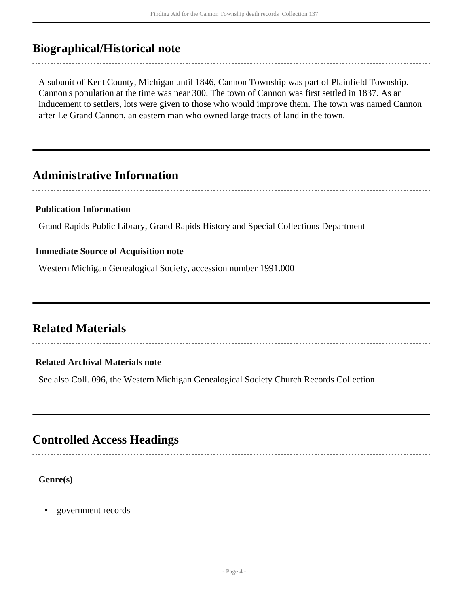## <span id="page-3-0"></span>**Biographical/Historical note**

A subunit of Kent County, Michigan until 1846, Cannon Township was part of Plainfield Township. Cannon's population at the time was near 300. The town of Cannon was first settled in 1837. As an inducement to settlers, lots were given to those who would improve them. The town was named Cannon after Le Grand Cannon, an eastern man who owned large tracts of land in the town.

### <span id="page-3-1"></span>**Administrative Information**

#### **Publication Information**

Grand Rapids Public Library, Grand Rapids History and Special Collections Department

#### **Immediate Source of Acquisition note**

Western Michigan Genealogical Society, accession number 1991.000

### <span id="page-3-2"></span>**Related Materials**

#### **Related Archival Materials note**

See also Coll. 096, the Western Michigan Genealogical Society Church Records Collection

### <span id="page-3-3"></span>**Controlled Access Headings**

#### **Genre(s)**

• government records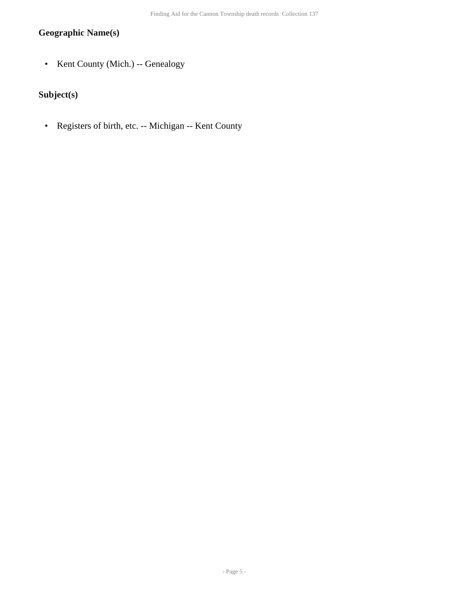#### **Geographic Name(s)**

• Kent County (Mich.) -- Genealogy

### **Subject(s)**

• Registers of birth, etc. -- Michigan -- Kent County